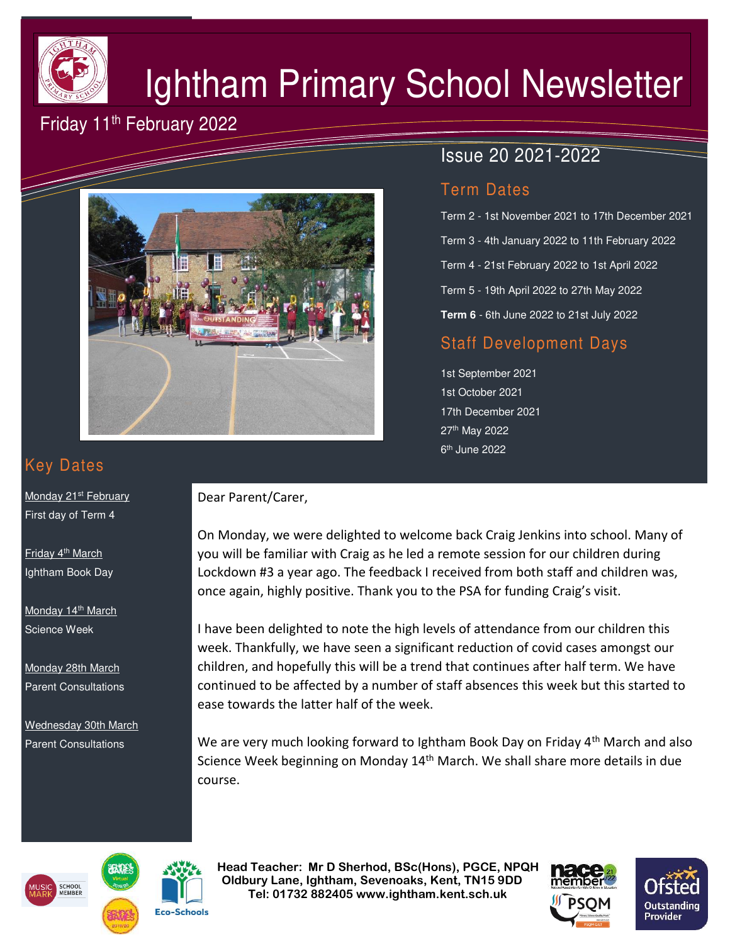

# Ightham Primary School Newsletter

# Friday 11<sup>th</sup> February 2022



# Issue 20 2021-2022

#### Term Dates

Term 2 - 1st November 2021 to 17th December 2021 Term 3 - 4th January 2022 to 11th February 2022 Term 4 - 21st February 2022 to 1st April 2022 Term 5 - 19th April 2022 to 27th May 2022 **Term 6** - 6th June 2022 to 21st July 2022

## Staff Development Days

1st September 2021 1st October 2021 17th December 2021 27th May 2022 6<sup>th</sup> June 2022

# Key Dates

Monday 21<sup>st</sup> February First day of Term 4

Friday 4th March Ightham Book Day

Monday 14<sup>th</sup> March Science Week

Monday 28th March Parent Consultations

Wednesday 30th March Parent Consultations

#### Dear Parent/Carer,

On Monday, we were delighted to welcome back Craig Jenkins into school. Many of you will be familiar with Craig as he led a remote session for our children during Lockdown #3 a year ago. The feedback I received from both staff and children was, once again, highly positive. Thank you to the PSA for funding Craig's visit.

I have been delighted to note the high levels of attendance from our children this week. Thankfully, we have seen a significant reduction of covid cases amongst our children, and hopefully this will be a trend that continues after half term. We have continued to be affected by a number of staff absences this week but this started to ease towards the latter half of the week.

We are very much looking forward to Ightham Book Day on Friday  $4<sup>th</sup>$  March and also Science Week beginning on Monday 14<sup>th</sup> March. We shall share more details in due course.





 **Head Teacher: Mr D Sherhod, BSc(Hons), PGCE, NPQH Oldbury Lane, Ightham, Sevenoaks, Kent, TN15 9DD** EXERIGING THE **TELE: 01732 882405 www.ightham.kent.sch.uk**<br>Tel: 01732 882405 www.ightham.kent.sch.uk



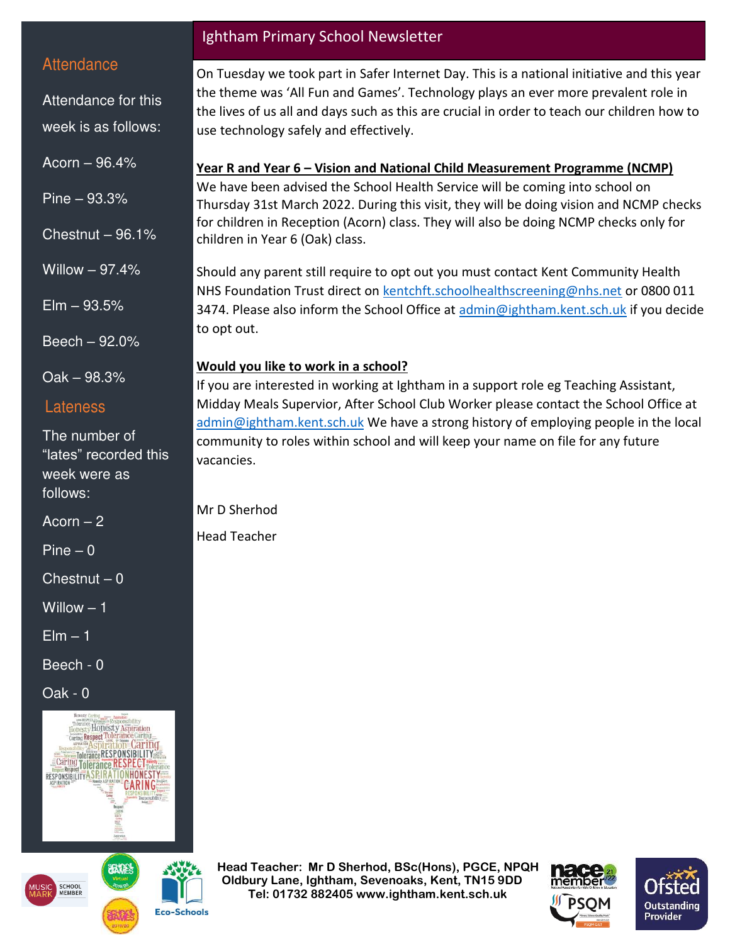#### **Attendance**

Attendance for this week is as follows:

Acorn – 96.4%

Pine – 93.3%

Chestnut  $-96.1%$ 

Willow – 97.4%

 $E$ lm  $-93.5%$ 

Beech – 92.0%

Oak – 98.3%

#### Lateness

The number of "lates" recorded this week were as follows:

Acorn  $-2$ 

 $Pine - 0$ 

 $Chestnut - 0$ 

Willow – 1

 $E$ lm  $-1$ 

Beech - 0

Oak - 0





**Eco-Schools** 

#### Ightham Primary School Newsletter

On Tuesday we took part in Safer Internet Day. This is a national initiative and this year the theme was 'All Fun and Games'. Technology plays an ever more prevalent role in the lives of us all and days such as this are crucial in order to teach our children how to use technology safely and effectively.

#### **Year R and Year 6 – Vision and National Child Measurement Programme (NCMP)**

We have been advised the School Health Service will be coming into school on Thursday 31st March 2022. During this visit, they will be doing vision and NCMP checks for children in Reception (Acorn) class. They will also be doing NCMP checks only for children in Year 6 (Oak) class.

Should any parent still require to opt out you must contact Kent Community Health NHS Foundation Trust direct on [kentchft.schoolhealthscreening@nhs.net](mailto:kentchft.schoolhealthscreening@nhs.net) or 0800 011 3474. Please also inform the School Office at [admin@ightham.kent.sch.uk](mailto:admin@ightham.kent.sch.uk) if you decide to opt out.

### **Would you like to work in a school?**

If you are interested in working at Ightham in a support role eg Teaching Assistant, Midday Meals Supervior, After School Club Worker please contact the School Office at [admin@ightham.kent.sch.uk](mailto:admin@ightham.kent.sch.uk) We have a strong history of employing people in the local community to roles within school and will keep your name on file for any future vacancies.

Mr D Sherhod

Head Teacher